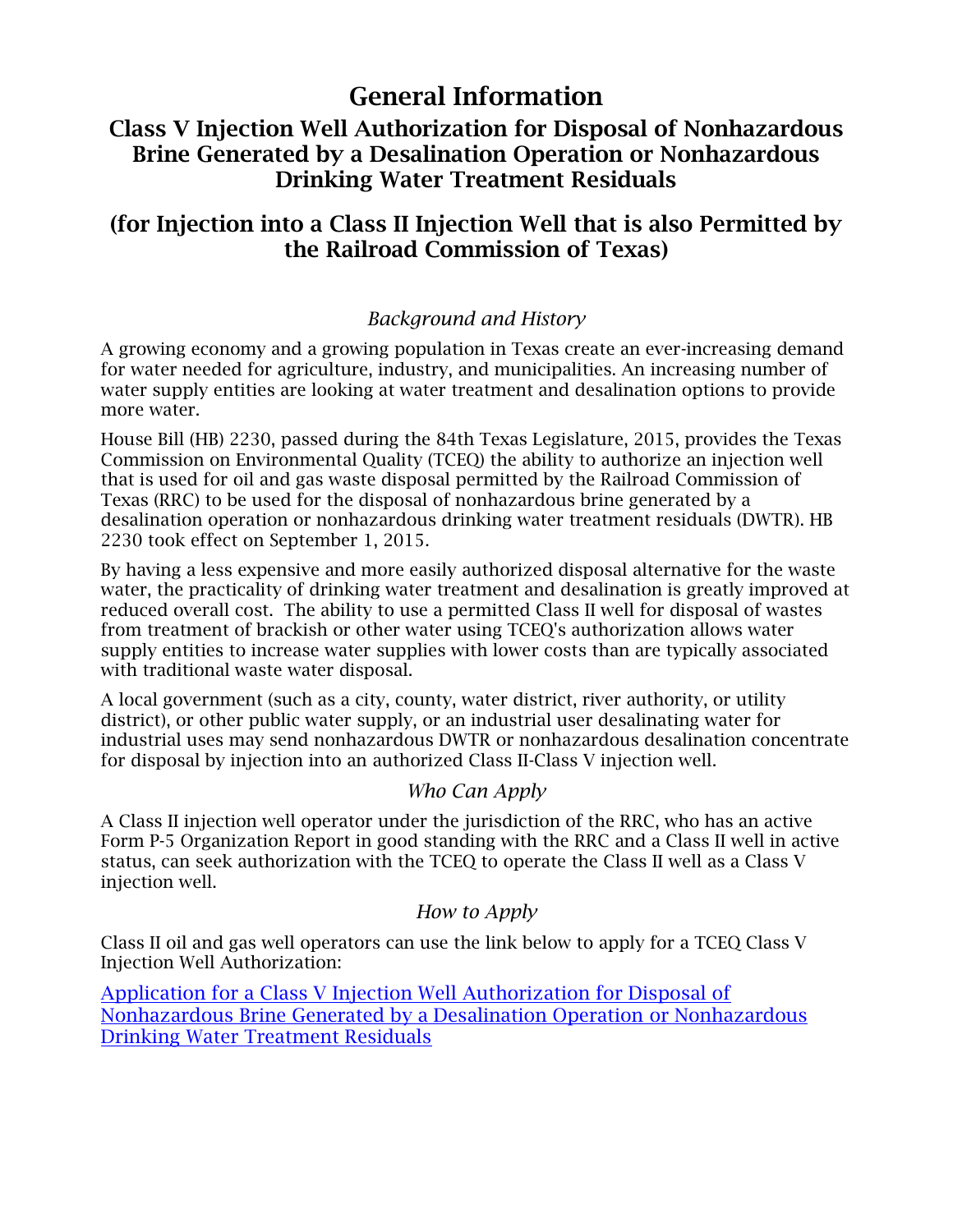# General Information

# Class V Injection Well Authorization for Disposal of Nonhazardous Brine Generated by a Desalination Operation or Nonhazardous Drinking Water Treatment Residuals

# (for Injection into a Class II Injection Well that is also Permitted by the Railroad Commission of Texas)

### *Background and History*

A growing economy and a growing population in Texas create an ever-increasing demand for water needed for agriculture, industry, and municipalities. An increasing number of water supply entities are looking at water treatment and desalination options to provide more water.

House Bill (HB) 2230, passed during the 84th Texas Legislature, 2015, provides the Texas Commission on Environmental Quality (TCEQ) the ability to authorize an injection well that is used for oil and gas waste disposal permitted by the Railroad Commission of Texas (RRC) to be used for the disposal of nonhazardous brine generated by a desalination operation or nonhazardous drinking water treatment residuals (DWTR). HB 2230 took effect on September 1, 2015.

By having a less expensive and more easily authorized disposal alternative for the waste water, the practicality of drinking water treatment and desalination is greatly improved at reduced overall cost. The ability to use a permitted Class II well for disposal of wastes from treatment of brackish or other water using TCEQ's authorization allows water supply entities to increase water supplies with lower costs than are typically associated with traditional waste water disposal.

A local government (such as a city, county, water district, river authority, or utility district), or other public water supply, or an industrial user desalinating water for industrial uses may send nonhazardous DWTR or nonhazardous desalination concentrate for disposal by injection into an authorized Class II-Class V injection well.

#### *Who Can Apply*

A Class II injection well operator under the jurisdiction of the RRC, who has an active Form P-5 Organization Report in good standing with the RRC and a Class II well in active status, can seek authorization with the TCEQ to operate the Class II well as a Class V injection well.

#### *How to Apply*

Class II oil and gas well operators can use the link below to apply for a TCEQ Class V Injection Well Authorization:

[Application for a Class V Injection](https://www.tceq.texas.gov/downloads/permitting/radioactive-materials/uic/tceq-rrc-class-v-application.docx) Well Authorization for Disposal of [Nonhazardous Brine Generated by a Desalination Operation](https://www.tceq.texas.gov/assets/public/permitting/waste/uic/TCEQ-RRC%20Class%20V%20Application.docx) or Nonhazardous [Drinking Water Treatment Residuals](https://www.tceq.texas.gov/assets/public/permitting/waste/uic/TCEQ-RRC%20Class%20V%20Application.docx)